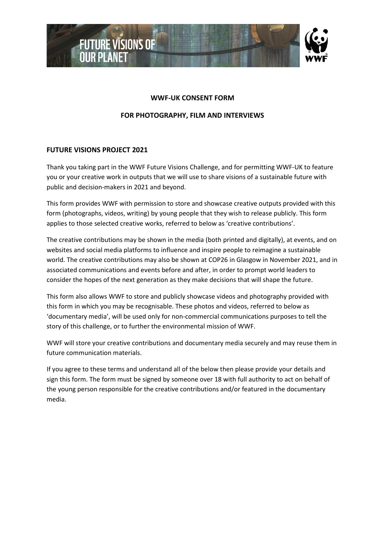

## **WWF-UK CONSENT FORM**

## **FOR PHOTOGRAPHY, FILM AND INTERVIEWS**

## **FUTURE VISIONS PROJECT 2021**

Thank you taking part in the WWF Future Visions Challenge, and for permitting WWF-UK to feature you or your creative work in outputs that we will use to share visions of a sustainable future with public and decision-makers in 2021 and beyond.

This form provides WWF with permission to store and showcase creative outputs provided with this form (photographs, videos, writing) by young people that they wish to release publicly. This form applies to those selected creative works, referred to below as 'creative contributions'.

The creative contributions may be shown in the media (both printed and digitally), at events, and on websites and social media platforms to influence and inspire people to reimagine a sustainable world. The creative contributions may also be shown at COP26 in Glasgow in November 2021, and in associated communications and events before and after, in order to prompt world leaders to consider the hopes of the next generation as they make decisions that will shape the future.

This form also allows WWF to store and publicly showcase videos and photography provided with this form in which you may be recognisable. These photos and videos, referred to below as 'documentary media', will be used only for non-commercial communications purposes to tell the story of this challenge, or to further the environmental mission of WWF.

WWF will store your creative contributions and documentary media securely and may reuse them in future communication materials.

If you agree to these terms and understand all of the below then please provide your details and sign this form. The form must be signed by someone over 18 with full authority to act on behalf of the young person responsible for the creative contributions and/or featured in the documentary media.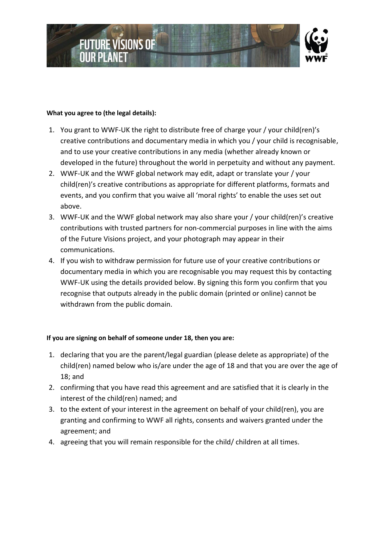

## **What you agree to (the legal details):**

- 1. You grant to WWF-UK the right to distribute free of charge your / your child(ren)'s creative contributions and documentary media in which you / your child is recognisable, and to use your creative contributions in any media (whether already known or developed in the future) throughout the world in perpetuity and without any payment.
- 2. WWF-UK and the WWF global network may edit, adapt or translate your / your child(ren)'s creative contributions as appropriate for different platforms, formats and events, and you confirm that you waive all 'moral rights' to enable the uses set out above.
- 3. WWF-UK and the WWF global network may also share your / your child(ren)'s creative contributions with trusted partners for non-commercial purposes in line with the aims of the Future Visions project, and your photograph may appear in their communications.
- 4. If you wish to withdraw permission for future use of your creative contributions or documentary media in which you are recognisable you may request this by contacting WWF-UK using the details provided below. By signing this form you confirm that you recognise that outputs already in the public domain (printed or online) cannot be withdrawn from the public domain.

## **If you are signing on behalf of someone under 18, then you are:**

- 1. declaring that you are the parent/legal guardian (please delete as appropriate) of the child(ren) named below who is/are under the age of 18 and that you are over the age of 18; and
- 2. confirming that you have read this agreement and are satisfied that it is clearly in the interest of the child(ren) named; and
- 3. to the extent of your interest in the agreement on behalf of your child(ren), you are granting and confirming to WWF all rights, consents and waivers granted under the agreement; and
- 4. agreeing that you will remain responsible for the child/ children at all times.